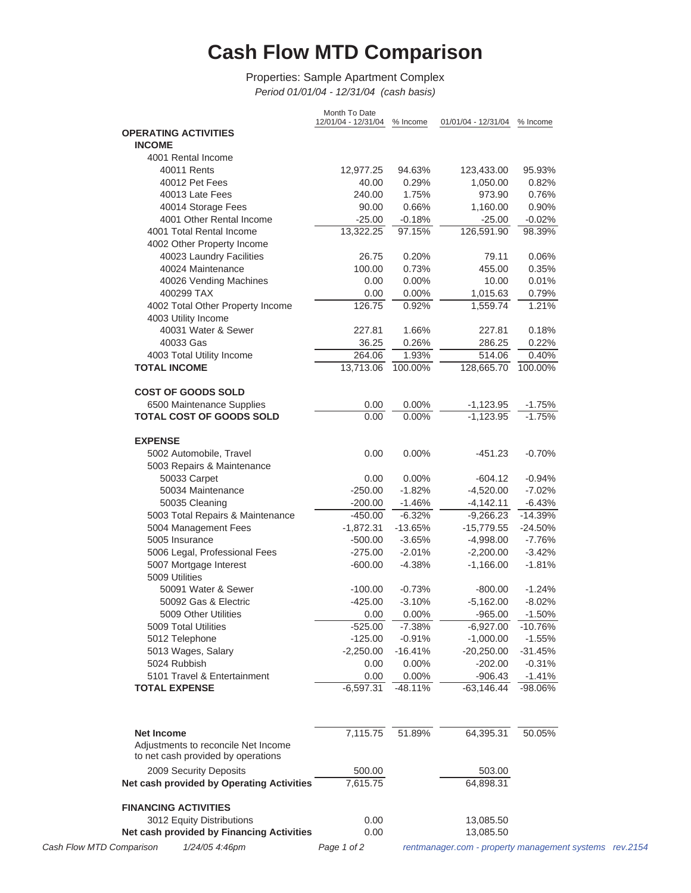## **Cash Flow MTD Comparison**

Properties: Sample Apartment Complex *Period 01/01/04 - 12/31/04 (cash basis)*

|                                           | Month To Date<br>12/01/04 - 12/31/04 | % Income  | 01/01/04 - 12/31/04 | % Income  |
|-------------------------------------------|--------------------------------------|-----------|---------------------|-----------|
| <b>OPERATING ACTIVITIES</b>               |                                      |           |                     |           |
| <b>INCOME</b>                             |                                      |           |                     |           |
| 4001 Rental Income                        |                                      |           |                     |           |
| 40011 Rents                               | 12,977.25                            | 94.63%    | 123,433.00          | 95.93%    |
| 40012 Pet Fees                            | 40.00                                | 0.29%     | 1,050.00            | 0.82%     |
| 40013 Late Fees                           | 240.00                               | 1.75%     | 973.90              | 0.76%     |
| 40014 Storage Fees                        | 90.00                                | 0.66%     | 1,160.00            | 0.90%     |
| 4001 Other Rental Income                  | $-25.00$                             | $-0.18%$  | $-25.00$            | $-0.02%$  |
| 4001 Total Rental Income                  | 13,322.25                            | 97.15%    | 126,591.90          | 98.39%    |
| 4002 Other Property Income                |                                      |           |                     |           |
| 40023 Laundry Facilities                  | 26.75                                | 0.20%     | 79.11               | 0.06%     |
| 40024 Maintenance                         | 100.00                               | 0.73%     | 455.00              | 0.35%     |
| 40026 Vending Machines                    | 0.00                                 | 0.00%     | 10.00               | 0.01%     |
| 400299 TAX                                | 0.00                                 | 0.00%     | 1,015.63            | 0.79%     |
| 4002 Total Other Property Income          | 126.75                               | 0.92%     | 1,559.74            | 1.21%     |
| 4003 Utility Income                       |                                      |           |                     |           |
| 40031 Water & Sewer                       | 227.81                               | 1.66%     | 227.81              | 0.18%     |
| 40033 Gas                                 | 36.25                                | 0.26%     | 286.25              | 0.22%     |
| 4003 Total Utility Income                 | 264.06                               | 1.93%     | 514.06              | 0.40%     |
| <b>TOTAL INCOME</b>                       | 13,713.06                            | 100.00%   | 128,665.70          | 100.00%   |
|                                           |                                      |           |                     |           |
| <b>COST OF GOODS SOLD</b>                 |                                      |           |                     |           |
| 6500 Maintenance Supplies                 | 0.00                                 | 0.00%     | $-1,123.95$         | $-1.75%$  |
| <b>TOTAL COST OF GOODS SOLD</b>           | 0.00                                 | 0.00%     | $-1,123.95$         | $-1.75%$  |
|                                           |                                      |           |                     |           |
| <b>EXPENSE</b>                            |                                      |           |                     |           |
| 5002 Automobile, Travel                   | 0.00                                 | $0.00\%$  | $-451.23$           | $-0.70%$  |
| 5003 Repairs & Maintenance                |                                      |           |                     |           |
| 50033 Carpet                              | 0.00                                 | 0.00%     | -604.12             | $-0.94\%$ |
| 50034 Maintenance                         | $-250.00$                            | $-1.82%$  | $-4,520.00$         | $-7.02%$  |
| 50035 Cleaning                            | $-200.00$                            | $-1.46%$  | $-4,142.11$         | $-6.43%$  |
| 5003 Total Repairs & Maintenance          | $-450.00$                            | $-6.32%$  | $-9,266.23$         | $-14.39%$ |
| 5004 Management Fees                      | $-1,872.31$                          | $-13.65%$ | $-15,779.55$        | $-24.50%$ |
| 5005 Insurance                            | $-500.00$                            | $-3.65%$  | $-4,998.00$         | $-7.76%$  |
| 5006 Legal, Professional Fees             | $-275.00$                            | $-2.01%$  | $-2,200.00$         | $-3.42%$  |
| 5007 Mortgage Interest                    | $-600.00$                            | $-4.38%$  | $-1,166.00$         | $-1.81%$  |
| 5009 Utilities                            |                                      |           |                     |           |
| 50091 Water & Sewer                       | $-100.00$                            | $-0.73%$  | $-800.00$           | $-1.24%$  |
| 50092 Gas & Electric                      | $-425.00$                            | $-3.10%$  | $-5,162.00$         | $-8.02%$  |
| 5009 Other Utilities                      | 0.00                                 | 0.00%     | $-965.00$           | $-1.50%$  |
| 5009 Total Utilities                      | $-525.00$                            | $-7.38%$  | $-6,927.00$         | $-10.76%$ |
| 5012 Telephone                            | $-125.00$                            | $-0.91%$  | $-1,000.00$         | $-1.55%$  |
| 5013 Wages, Salary<br>5024 Rubbish        | $-2,250.00$                          | $-16.41%$ | $-20,250.00$        | $-31.45%$ |
|                                           | 0.00                                 | 0.00%     | $-202.00$           | $-0.31%$  |
| 5101 Travel & Entertainment               | 0.00                                 | 0.00%     | $-906.43$           | $-1.41%$  |
| <b>TOTAL EXPENSE</b>                      | $-6,597.31$                          | $-48.11%$ | $-63, 146.44$       | -98.06%   |
|                                           |                                      |           |                     |           |
|                                           |                                      |           |                     |           |
| <b>Net Income</b>                         | 7,115.75                             | 51.89%    | 64,395.31           | 50.05%    |
| Adjustments to reconcile Net Income       |                                      |           |                     |           |
| to net cash provided by operations        |                                      |           |                     |           |
| 2009 Security Deposits                    | 500.00                               |           | 503.00              |           |
| Net cash provided by Operating Activities | 7,615.75                             |           | 64,898.31           |           |
|                                           |                                      |           |                     |           |
| <b>FINANCING ACTIVITIES</b>               |                                      |           |                     |           |
| 3012 Equity Distributions                 | 0.00                                 |           | 13,085.50           |           |
| Net cash provided by Financing Activities | 0.00                                 |           | 13,085.50           |           |
|                                           |                                      |           |                     |           |